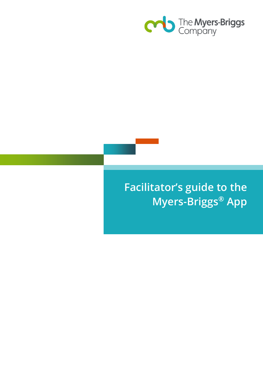

# **Facilitator's guide to the Myers-Briggs® App**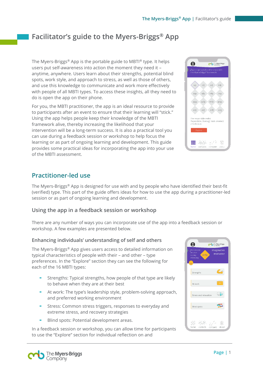## **Facilitator's guide to the Myers-Briggs® App**

The Myers-Briggs® App is the portable guide to MBTI® type. It helps users put self-awareness into action the moment they need it – anytime, anywhere. Users learn about their strengths, potential blind spots, work style, and approach to stress, as well as those of others, and use this knowledge to communicate and work more effectively with people of all MBTI types. To access these insights, all they need to do is open the app on their phone.

For you, the MBTI practitioner, the app is an ideal resource to provide to participants after an event to ensure that their learning will "stick." Using the app helps people keep their knowledge of the MBTI framework alive, thereby increasing the likelihood that your intervention will be a long-term success. It is also a practical tool you can use during a feedback session or workshop to help focus the learning or as part of ongoing learning and development. This guide provides some practical ideas for incorporating the app into your use of the MBTI assessment.



### **Practitioner-led use**

The Myers-Briggs® App is designed for use with and by people who have identified their best-fit (verified) type. This part of the guide offers ideas for how to use the app during a practitioner-led session or as part of ongoing learning and development.

#### **Using the app in a feedback session or workshop**

There are any number of ways you can incorporate use of the app into a feedback session or workshop. A few examples are presented below.

#### **Enhancing individuals' understanding of self and others**

The Myers-Briggs® App gives users access to detailed information on typical characteristics of people with their – and other – type preferences. In the "Explore" section they can see the following for each of the 16 MBTI types:

- Strengths: Typical strengths, how people of that type are likely to behave when they are at their best
- At work: The type's leadership style, problem-solving approach, and preferred working environment
- Stress: Common stress triggers, responses to everyday and extreme stress, and recovery strategies
- Blind spots: Potential development areas.

In a feedback session or workshop, you can allow time for participants to use the "Explore" section for individual reflection on and



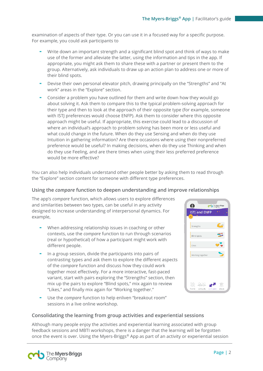examination of aspects of their type. Or you can use it in a focused way for a specific purpose. For example, you could ask participants to

- Write down an important strength and a significant blind spot and think of ways to make use of the former and alleviate the latter, using the information and tips in the app. If appropriate, you might ask them to share these with a partner or present them to the group. Alternatively, ask individuals to draw up an action plan to address one or more of their blind spots.
- Devise their own personal elevator pitch, drawing principally on the "Strengths" and "At work" areas in the "Explore" section.
- Consider a problem you have outlined for them and write down how they would go about solving it. Ask them to compare this to the typical problem-solving approach for their type and then to look at the approach of their opposite type (for example, someone with ISTJ preferences would choose ENFP). Ask them to consider where this opposite approach might be useful. If appropriate, this exercise could lead to a discussion of where an individual's approach to problem solving has been more or less useful and what could change in the future. When do they use Sensing and when do they use Intuition in gathering information? Are there occasions where using their nonpreferred preference would be useful? In making decisions, when do they use Thinking and when do they use Feeling, and are there times when using their less preferred preference would be more effective?

You can also help individuals understand other people better by asking them to read through the "Explore" section content for someone with different type preferences.

#### **Using the** *compare* **function to deepen understanding and improve relationships**

The app's *compare* function, which allows users to explore differences and similarities between two types, can be useful in any activity designed to increase understanding of interpersonal dynamics. For example,

- When addressing relationship issues in coaching or other contexts, use the *compare* function to run through scenarios (real or hypothetical) of how a participant might work with different people.
- In a group session, divide the participants into pairs of contrasting types and ask them to explore the different aspects of the *compare* function and discuss how they could work together most effectively. For a more interactive, fast-paced variant, start with pairs exploring the "Strengths" section, then mix up the pairs to explore "Blind spots," mix again to review "Likes," and finally mix again for "Working together."
- Use the *compare* function to help enliven "breakout room" sessions in a live online workshop.



#### **Consolidating the learning from group activities and experiential sessions**

Although many people enjoy the activities and experiential learning associated with group feedback sessions and MBTI workshops, there is a danger that the learning will be forgotten once the event is over. Using the Myers-Briggs® App as part of an activity or experiential session

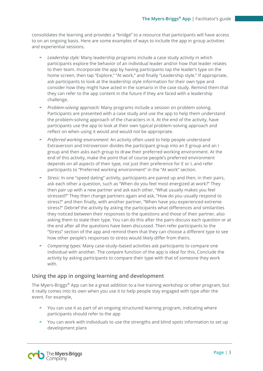consolidates the learning and provides a "bridge" to a resource that participants will have access to on an ongoing basis. Here are some examples of ways to include the app in group activities and experiential sessions.

- *Leadership style:* Many leadership programs include a case study activity in which participants explore the behavior of an individual leader and/or how that leader relates to their team. Incorporate the app by having participants tap the leader's type on the home screen, then tap "Explore," "At work," and finally "Leadership style." If appropriate, ask participants to look at the leadership style information for their own type and consider how they might have acted in the scenario in the case study. Remind them that they can refer to the app content in the future if they are faced with a leadership challenge.
- *Problem-solving approach:* Many programs include a session on problem solving. Participants are presented with a case study and use the app to help them understand the problem-solving approach of the characters in it. At the end of the activity, have participants use the app to look at their own typical problem-solving approach and reflect on when using it would and would not be appropriate.
- *Preferred working environment:* An activity often used to help people understand Extraversion and Introversion divides the participant group into an E group and an I group and then asks each group to draw their preferred working environment. At the end of this activity, make the point that of course people's preferred environment depends on all aspects of their type, not just their preference for E or I, and refer participants to "Preferred working environment" in the "At work" section.
- *Stress:* In one "speed dating" activity, participants are paired up and then, in their pairs, ask each other a question, such as "When do you feel most energized at work?" They then pair up with a new partner and ask each other, "What usually makes you feel stressed?" They then change partners again and ask, "How do you usually respond to stress?" and then finally, with another partner, "When have you experienced extreme stress?" Debrief the activity by asking the participants what differences and similarities they noticed between their responses to the questions and those of their partner, also asking them to state their type. You can do this after the pairs discuss each question or at the end after all the questions have been discussed. Then refer participants to the "Stress" section of the app and remind them that they can choose a different type to see how other people's responses to stress would likely differ from theirs.
- *Comparing types:* Many case-study–based activities ask participants to compare one individual with another. The *compare* function of the app is ideal for this, Conclude the activity by asking participants to compare their type with that of someone they work with.

#### **Using the app in ongoing learning and development**

The Myers-Briggs® App can be a great addition to a live training workshop or other program, but it really comes into its own when you use it to help people stay engaged with type after the event. For example,

- You can use it as part of an ongoing structured learning program, indicating where participants should refer to the app
- You can work with individuals to use the strengths and blind spots information to set up development plans